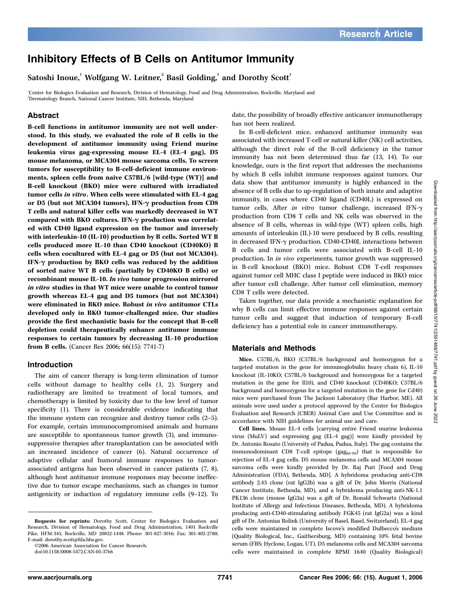# Inhibitory Effects of B Cells on Antitumor Immunity

Satoshi Inoue, $^1$  Wolfgang W. Leitner, $^2$  Basil Golding, $^1$  and Dorothy Scott $^1$ 

1 Center for Biologics Evaluation and Research, Division of Hematology, Food and Drug Administration, Rockville, Maryland and 2 Dermatology Branch, National Cancer Institute, NIH, Bethesda, Maryland

## Abstract

B-cell functions in antitumor immunity are not well understood. In this study, we evaluated the role of B cells in the development of antitumor immunity using Friend murine leukemia virus gag-expressing mouse EL-4 (EL-4 gag), D5 mouse melanoma, or MCA304 mouse sarcoma cells. To screen tumors for susceptibility to B-cell-deficient immune environments, spleen cells from naive C57BL/6 [wild-type (WT)] and B-cell knockout (BKO) mice were cultured with irradiated tumor cells in vitro. When cells were stimulated with EL-4 gag or D5 (but not MCA304 tumors), IFN- $\gamma$  production from CD8 T cells and natural killer cells was markedly decreased in WT compared with BKO cultures. IFN- $\gamma$  production was correlated with CD40 ligand expression on the tumor and inversely with interleukin-10 (IL-10) production by B cells. Sorted WT B cells produced more IL-10 than CD40 knockout (CD40KO) B cells when cocultured with EL-4 gag or D5 (but not MCA304). IFN- $\gamma$  production by BKO cells was reduced by the addition of sorted naive WT B cells (partially by CD40KO B cells) or recombinant mouse IL-10. In vivo tumor progression mirrored in vitro studies in that WT mice were unable to control tumor growth whereas EL-4 gag and D5 tumors (but not MCA304) were eliminated in BKO mice. Robust in vivo antitumor CTLs developed only in BKO tumor-challenged mice. Our studies provide the first mechanistic basis for the concept that B-cell depletion could therapeutically enhance antitumor immune responses to certain tumors by decreasing IL-10 production from B cells. (Cancer Res 2006; 66(15): 7741-7)

## Introduction

The aim of cancer therapy is long-term elimination of tumor cells without damage to healthy cells (1, 2). Surgery and radiotherapy are limited to treatment of local tumors, and chemotherapy is limited by toxicity due to the low level of tumor specificity (1). There is considerable evidence indicating that the immune system can recognize and destroy tumor cells (2–5). For example, certain immunocompromised animals and humans are susceptible to spontaneous tumor growth (3), and immunosuppressive therapies after transplantation can be associated with an increased incidence of cancer (6). Natural occurrence of adaptive cellular and humoral immune responses to tumorassociated antigens has been observed in cancer patients (7, 8), although host antitumor immune responses may become ineffective due to tumor escape mechanisms, such as changes in tumor antigenicity or induction of regulatory immune cells (9–12). To

date, the possibility of broadly effective anticancer immunotherapy has not been realized.

In B-cell-deficient mice, enhanced antitumor immunity was associated with increased T-cell or natural killer (NK) cell activities, although the direct role of the B-cell deficiency in the tumor immunity has not been determined thus far (13, 14). To our knowledge, ours is the first report that addresses the mechanisms by which B cells inhibit immune responses against tumors. Our data show that antitumor immunity is highly enhanced in the absence of B cells due to up-regulation of both innate and adaptive immunity, in cases where CD40 ligand (CD40L) is expressed on tumor cells. After in vitro tumor challenge, increased IFN- $\gamma$ production from CD8 T cells and NK cells was observed in the absence of B cells, whereas in wild-type (WT) spleen cells, high amounts of interleukin (IL)-10 were produced by B cells, resulting in decreased IFN- $\gamma$  production. CD40-CD40L interactions between B cells and tumor cells were associated with B-cell IL-10 production. In in vivo experiments, tumor growth was suppressed in B-cell knockout (BKO) mice. Robust CD8 T-cell responses against tumor cell MHC class I peptide were induced in BKO mice after tumor cell challenge. After tumor cell elimination, memory CD8 T cells were detected.

Taken together, our data provide a mechanistic explanation for why B cells can limit effective immune responses against certain tumor cells and suggest that induction of temporary B-cell deficiency has a potential role in cancer immunotherapy.

## Materials and Methods

Mice. C57BL/6, BKO (C57BL/6 background and homozygous for a targeted mutation in the gene for immunoglobulin heavy chain 6), IL-10 knockout (IL-10KO; C57BL/6 background and homozygous for a targeted mutation in the gene for Il10), and CD40 knockout (CD40KO; C57BL/6 background and homozygous for a targeted mutation in the gene for Cd40) mice were purchased from The Jackson Laboratory (Bar Harbor, ME). All animals were used under a protocol approved by the Center for Biologics Evaluation and Research (CBER) Animal Care and Use Committee and in accordance with NIH guidelines for animal use and care.

Cell lines. Mouse EL-4 cells [carrying entire Friend murine leukemia virus (MuLV) and expressing gag (EL-4 gag)] were kindly provided by Dr. Antonio Rosato (University of Padua, Padua, Italy). The gag contains the immunodominant CD8 T-cell epitope (gag<sub>85-93</sub>) that is responsible for rejection of EL-4 gag cells. D5 mouse melanoma cells and MCA304 mouse sarcoma cells were kindly provided by Dr. Raj Puri [Food and Drug Administration (FDA), Bethesda, MD]. A hybridoma producing anti-CD8 antibody 2.43 clone (rat IgG2b) was a gift of Dr. John Morris (National Cancer Institute, Bethesda, MD), and a hybridoma producing anti-NK-1.1 PK136 clone (mouse IgG2a) was a gift of Dr. Ronald Schwartz (National Institute of Allergy and Infectious Diseases, Bethesda, MD). A hybridoma producing anti-CD40-stimulating antibody FGK45 (rat IgG2a) was a kind gift of Dr. Antonius Rolink (University of Basel, Basel, Switzerland). EL-4 gag cells were maintained in complete Iscove's modified Dulbecco's medium (Quality Biological, Inc., Gaithersburg, MD) containing 10% fetal bovine serum (FBS; Hyclone, Logan, UT). D5 melanoma cells and MCA304 sarcoma cells were maintained in complete RPMI 1640 (Quality Biological)

Requests for reprints: Dorothy Scott, Center for Biologics Evaluation and Research, Division of Hematology, Food and Drug Administration, 1401 Rockville Pike, HFM-345, Rockville, MD 20852-1448. Phone: 301-827-3016; Fax: 301-402-2780; E-mail: dorothy.scott@fda.hhs.gov.

<sup>©2006</sup> American Association for Cancer Research.

doi:10.1158/0008-5472.CAN-05-3766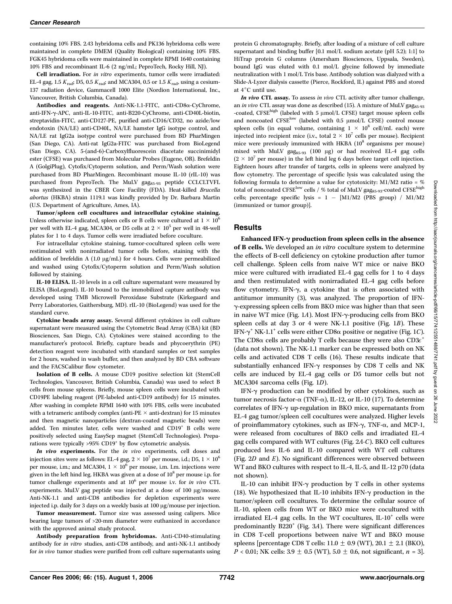containing 10% FBS. 2.43 hybridoma cells and PK136 hybridoma cells were maintained in complete DMEM (Quality Biological) containing 10% FBS. FGK45 hybridoma cells were maintained in complete RPMI 1640 containing 10% FBS and recombinant IL-6 (2 ng/mL; PeproTech, Rocky Hill, NJ).

Cell irradiation. For in vitro experiments, tumor cells were irradiated: EL-4 gag, 1.5  $K_{rad}$ ; D5, 0.5  $K_{rad}$ ; and MCA304, 0.5 or 1.5  $K_{rad}$ , using a cesium-137 radiation device, Gammacell 1000 Elite (Nordion International, Inc., Vancouver, British Columbia, Canada).

Antibodies and reagents. Anti-NK-1.1-FITC, anti-CD8a-CyChrome, anti-IFN-g-APC, anti-IL-10-FITC, anti-B220-CyChrome, anti-CD40L-biotin, streptavidin-FITC, anti-CD127-PE, purified anti-CD16/CD32, no azide/low endotoxin (NA/LE) anti-CD40L, NA/LE hamster IgG isotype control, and NA/LE rat IgG2a isotype control were purchased from BD PharMingen (San Diego, CA). Anti-rat IgG2a-FITC was purchased from BioLegend (San Diego, CA). 5-(and-6)-Carboxylfluorescein diacetate succinimidyl ester (CFSE) was purchased from Molecular Probes (Eugene, OR). Brefeldin A (GolgiPlug), Cytofix/Cytoperm solution, and Perm/Wash solution were purchased from BD PharMingen. Recombinant mouse IL-10 (rIL-10) was purchased from PeproTech. The MuLV gag<sub>85-93</sub> peptide CCLCLTVFL was synthesized in the CBER Core Facility (FDA). Heat-killed Brucella abortus (HKBA) strain 1119.1 was kindly provided by Dr. Barbara Martin (U.S. Department of Agriculture, Ames, IA).

Tumor/spleen cell cocultures and intracellular cytokine staining. Unless otherwise indicated, spleen cells or B cells were cultured at  $1 \times 10^6$ per well with EL-4 gag, MCA304, or D5 cells at  $2 \times 10^5$  per well in 48-well plates for 1 to 4 days. Tumor cells were irradiated before coculture.

For intracellular cytokine staining, tumor-cocultured spleen cells were restimulated with nonirradiated tumor cells before, staining with the addition of brefeldin A (1.0  $\mu$ g/mL) for 4 hours. Cells were permeabilized and washed using Cytofix/Cytoperm solution and Perm/Wash solution followed by staining.

IL-10 ELISA. IL-10 levels in a cell culture supernatant were measured by ELISA (BioLegend). IL-10 bound to the immobilized capture antibody was developed using TMB Microwell Peroxidase Substrate (Kirkegaard and Perry Laboratories, Gaithersburg, MD). rIL-10 (BioLegend) was used for the standard curve.

Cytokine beads array assay. Several different cytokines in cell culture supernatant were measured using the Cytometric Bead Array (CBA) kit (BD Biosciences, San Diego, CA). Cytokines were stained according to the manufacturer's protocol. Briefly, capture beads and phycoerythrin (PE) detection reagent were incubated with standard samples or test samples for 2 hours, washed in wash buffer, and then analyzed by BD CBA software and the FACSCalibur flow cytometer.

Isolation of B cells. A mouse CD19 positive selection kit (StemCell Technologies, Vancouver, British Columbia, Canada) was used to select B cells from mouse spleens. Briefly, mouse spleen cells were incubated with CD19PE labeling reagent (PE-labeled anti-CD19 antibody) for 15 minutes. After washing in complete RPMI 1640 with 10% FBS, cells were incubated with a tetrameric antibody complex (anti-PE  $\times$  anti-dextran) for 15 minutes and then magnetic nanoparticles (dextran-coated magnetic beads) were added. Ten minutes later, cells were washed and CD19+ B cells were positively selected using EasySep magnet (StemCell Technologies). Preparations were typically  $>95\%$  CD19<sup>+</sup> by flow cytometric analysis.

In vivo experiments. For the in vivo experiments, cell doses and injection sites were as follows: EL-4 gag,  $2 \times 10^7$  per mouse, i.d.; D5,  $1 \times 10^6$ per mouse, i.m.; and MCA304,  $1 \times 10^6$  per mouse, i.m. I.m. injections were given in the left hind leg. HKBA was given at a dose of  $10<sup>8</sup>$  per mouse i.p. for tumor challenge experiments and at  $10^6$  per mouse i.v. for *in vivo* CTL experiments. MuLV gag peptide was injected at a dose of 100 µg/mouse. Anti-NK-1.1 and anti-CD8 antibodies for depletion experiments were injected i.p. daily for 3 days on a weekly basis at  $100 \mu$ g/mouse per injection.

Tumor measurement. Tumor size was assessed using calipers. Mice bearing large tumors of >20-mm diameter were euthanized in accordance with the approved animal study protocol.

Antibody preparation from hybridomas. Anti-CD40-stimulating antibody for in vitro studies, anti-CD8 antibody, and anti-NK-1.1 antibody for in vivo tumor studies were purified from cell culture supernatants using

protein G chromatography. Briefly, after loading of a mixture of cell culture supernatant and binding buffer [0.1 mol/L sodium acetate (pH 5.2); 1:1] to HiTrap protein G columns (Amersham Biosciences, Uppsala, Sweden), bound IgG was eluted with 0.1 mol/L glycine followed by immediate neutralization with 1 mol/L Tris base. Antibody solution was dialyzed with a Slide-A-Lyzer dialysis cassette (Pierce, Rockford, IL) against PBS and stored at  $4^{\circ}$ C until use.

In vivo CTL assay. To assess in vivo CTL activity after tumor challenge, an in vivo CTL assay was done as described (15). A mixture of MuLV gag<sub>85-93</sub> -coated, CFSE<sup>high</sup> (labeled with 5 µmol/L CFSE) target mouse spleen cells and noncoated  $CFSE^{low}$  (labeled with 0.5  $\mu$ mol/L CFSE) control mouse spleen cells (in equal volume, containing  $1 \times 10^8$  cell/mL each) were injected into recipient mice (i.v., total  $2 \times 10^7$  cells per mouse). Recipient mice were previously immunized with HKBA (10<sup>8</sup> organisms per mouse) mixed with MuLV gag<sub>85-93</sub> (100  $\mu$ g) or had received EL-4 gag cells  $(2 \times 10^7 \text{ per mouse})$  in the left hind leg 6 days before target cell injection. Eighteen hours after transfer of targets, cells in spleens were analyzed by flow cytometry. The percentage of specific lysis was calculated using the following formula to determine a value for cytotoxicity: M1/M2 ratio = % total of noncoated  $\text{CFSE}^{\text{low}}$  cells / % total of MuLV gag<sub>85-93</sub>-coated  $\text{CFSE}^{\text{high}}$ cells; percentage specific lysis = 1 - [M1/M2 (PBS group) / M1/M2 (immunized or tumor group)].

#### **Results**

Enhanced IFN- $\gamma$  production from spleen cells in the absence of B cells. We developed an in vitro coculture system to determine the effects of B-cell deficiency on cytokine production after tumor cell challenge. Spleen cells from naive WT mice or naive BKO mice were cultured with irradiated EL-4 gag cells for 1 to 4 days and then restimulated with nonirradiated EL-4 gag cells before flow cytometry. IFN- $\gamma$ , a cytokine that is often associated with antitumor immunity (3), was analyzed. The proportion of IFNg-expressing spleen cells from BKO mice was higher than that seen in naive WT mice (Fig. 1A). Most IFN- $\gamma$ -producing cells from BKO spleen cells at day 3 or 4 were NK-1.1 positive (Fig. 1B). These IFN- $\gamma^*$  NK-1.1<sup>+</sup> cells were either CD8 $\alpha$  positive or negative (Fig. 1*C*). The CD8 $\alpha$  cells are probably T cells because they were also  $CD3\varepsilon^+$ <br>(data not shown). The NK-1.1 marker can be expressed both on NK (data not shown). The NK-1.1 marker can be expressed both on NK cells and activated CD8 T cells (16). These results indicate that substantially enhanced IFN- $\gamma$  responses by CD8 T cells and NK cells are induced by EL-4 gag cells or D5 tumor cells but not MCA304 sarcoma cells (Fig. 1D).

IFN-g production can be modified by other cytokines, such as tumor necrosis factor- $\alpha$  (TNF- $\alpha$ ), IL-12, or IL-10 (17). To determine correlates of IFN- $\gamma$  up-regulation in BKO mice, supernatants from EL-4 gag tumor/spleen cell cocultures were analyzed. Higher levels of proinflammatory cytokines, such as IFN- $\gamma$ , TNF- $\alpha$ , and MCP-1, were released from cocultures of BKO cells and irradiated EL-4 gag cells compared with WT cultures (Fig. 2A-C). BKO cell cultures produced less IL-6 and IL-10 compared with WT cell cultures (Fig.  $2D$  and  $E$ ). No significant differences were observed between WT and BKO cultures with respect to IL-4, IL-5, and IL-12 p70 (data not shown).

IL-10 can inhibit IFN-g production by T cells in other systems (18). We hypothesized that IL-10 inhibits IFN- $\gamma$  production in the tumor/spleen cell cocultures. To determine the cellular source of IL-10, spleen cells from WT or BKO mice were cocultured with irradiated EL-4 gag cells. In the WT cocultures,  $IL-10<sup>+</sup>$  cells were predominantly  $B220^+$  (Fig. 3A). There were significant differences in CD8 T-cell proportions between naive WT and BKO mouse spleens [percentage CD8 T cells:  $11.0 \pm 0.9$  (WT),  $20.1 \pm 2.1$  (BKO),  $P < 0.01$ ; NK cells: 3.9  $\pm$  0.5 (WT), 5.0  $\pm$  0.6, not significant, n = 3].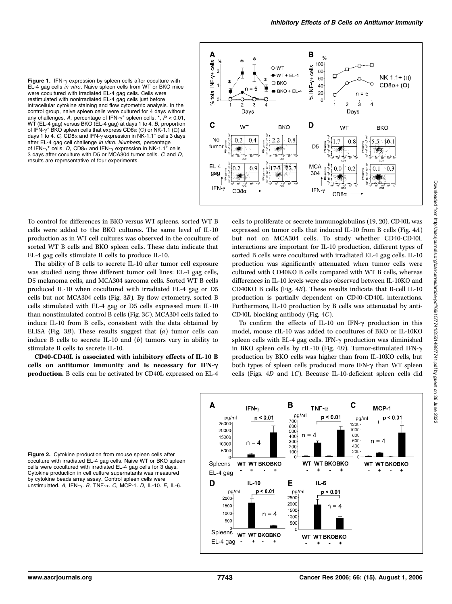Figure 1. IFN-<sub>Y</sub> expression by spleen cells after coculture with<br>EL-4 gag cells *in vitro*. Naive spleen cells from WT or BKO mice were cocultured with irradiated EL-4 gag cells. Cells were restimulated with nonirradiated EL-4 gag cells just before intracellular cytokine staining and flow cytometric analysis. In the control group, naive spleen cells were cultured for 4 days without any challenges. A, percentage of  $IFN-\gamma^+$  spleen cells.  $\gamma$ ,  $P < 0.01$ , WT (EL-4 gag) versus BKO (EL-4 gag) at days 1 to 4. B, proportion of IFN- $\gamma^+$  BKO spleen cells that express CD8 $\alpha$  (O) or NK-1.1 ( $\Box$ ) at days 1 to 4. C, CD8 $\alpha$  and IFN- $\gamma$  expression in NK-1.1<sup>+</sup> cells 3 days after EL-4 gag cell challenge in vitro. Numbers, percentage of IFN- $\gamma^+$  cells. D, CD8 $\alpha$  and IFN- $\gamma$  expression in NK-1.1<sup>+</sup> cells 3 days after coculture with D5 or MCA304 tumor cells. C and D, results are representative of four experiments.



To control for differences in BKO versus WT spleens, sorted WT B cells were added to the BKO cultures. The same level of IL-10 production as in WT cell cultures was observed in the coculture of sorted WT B cells and BKO spleen cells. These data indicate that EL-4 gag cells stimulate B cells to produce IL-10.

The ability of B cells to secrete IL-10 after tumor cell exposure was studied using three different tumor cell lines: EL-4 gag cells, D5 melanoma cells, and MCA304 sarcoma cells. Sorted WT B cells produced IL-10 when cocultured with irradiated EL-4 gag or D5 cells but not MCA304 cells (Fig. 3B). By flow cytometry, sorted B cells stimulated with EL-4 gag or D5 cells expressed more IL-10 than nonstimulated control B cells (Fig. 3C). MCA304 cells failed to induce IL-10 from B cells, consistent with the data obtained by ELISA (Fig.  $3B$ ). These results suggest that  $(a)$  tumor cells can induce B cells to secrete IL-10 and  $(b)$  tumors vary in ability to stimulate B cells to secrete IL-10.

CD40-CD40L is associated with inhibitory effects of IL-10 B cells on antitumor immunity and is necessary for IFN- $\gamma$ production. B cells can be activated by CD40L expressed on EL-4 cells to proliferate or secrete immunoglobulins (19, 20). CD40L was expressed on tumor cells that induced IL-10 from B cells (Fig. 4A) but not on MCA304 cells. To study whether CD40-CD40L interactions are important for IL-10 production, different types of sorted B cells were cocultured with irradiated EL-4 gag cells. IL-10 production was significantly attenuated when tumor cells were cultured with CD40KO B cells compared with WT B cells, whereas differences in IL-10 levels were also observed between IL-10KO and CD40KO B cells (Fig. 4B). These results indicate that B-cell IL-10 production is partially dependent on CD40-CD40L interactions. Furthermore, IL-10 production by B cells was attenuated by anti-CD40L blocking antibody (Fig. 4C).

To confirm the effects of IL-10 on IFN- $\gamma$  production in this model, mouse rIL-10 was added to cocultures of BKO or IL-10KO spleen cells with EL-4 gag cells. IFN- $\gamma$  production was diminished in BKO spleen cells by rIL-10 (Fig. 4D). Tumor-stimulated IFN- $\gamma$ production by BKO cells was higher than from IL-10KO cells, but both types of spleen cells produced more IFN- $\gamma$  than WT spleen cells (Figs. 4D and 1C). Because IL-10-deficient spleen cells did

Figure 2. Cytokine production from mouse spleen cells after coculture with irradiated EL-4 gag cells. Naive WT or BKO spleen cells were cocultured with irradiated EL-4 gag cells for 3 days. Cytokine production in cell culture supernatants was measured by cytokine beads array assay. Control spleen cells were unstimulated. A, IFN- $\gamma$ , B, TNF- $\alpha$ , C, MCP-1, D, IL-10, E, IL-6.

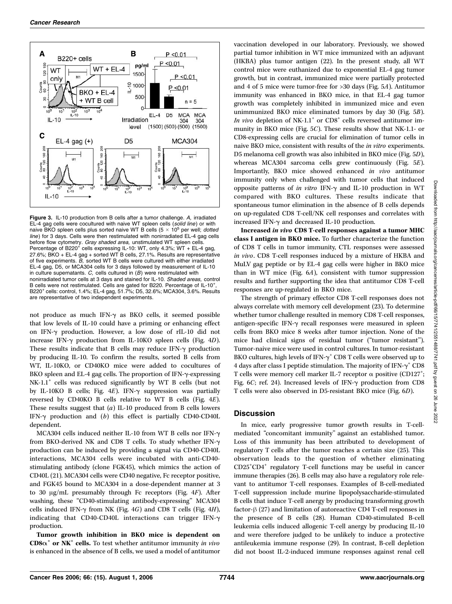

Figure 3. IL-10 production from B cells after a tumor challenge. A, irradiated EL-4 gag cells were cocultured with naive WT spleen cells (solid line) or with naive BKO spleen cells plus sorted naive WT B cells ( $5 \times 10^5$  per well; *dotted* line) for 3 days. Cells were then restimulated with nonirradiated EL-4 gag cells before flow cytometry. Gray shaded area, unstimulated WT spleen cells. Percentage of B220<sup>+</sup> cells expressing IL-10: WT, only 4.3%; WT + EL-4 gag 27.6%; BKO + EL-4 gag + sorted WT B cells, 27.1%. Results are representative of five experiments.  $B$ , sorted WT B cells were cultured with either irradiated EL-4 gag, D5, or MCA304 cells for 3 days followed by measurement of IL-10 in culture supernatants.  $C$ , cells cultured in  $(B)$  were restimulated with nonirradiated tumor cells at 3 days and stained for IL-10. Shaded areas, control B cells were not restimulated. Cells are gated for B220. Percentage of IL-10<sup>+</sup> , B220<sup>+</sup> cells: control, 1.4%; EL-4 gag, 51.7%; D5, 32.6%; MCA304, 3.6%. Results are representative of two independent experiments.

not produce as much IFN- $\gamma$  as BKO cells, it seemed possible that low levels of IL-10 could have a priming or enhancing effect on IFN-g production. However, a low dose of rIL-10 did not increase IFN- $\gamma$  production from IL-10KO spleen cells (Fig. 4D). These results indicate that B cells may reduce  $IFN-\gamma$  production by producing IL-10. To confirm the results, sorted B cells from WT, IL-10KO, or CD40KO mice were added to cocultures of BKO spleen and EL-4 gag cells. The proportion of IFN- $\gamma$ -expressing  $NK-1.1^+$  cells was reduced significantly by WT B cells (but not by IL-10KO B cells; Fig.  $4E$ ). IFN- $\gamma$  suppression was partially reversed by CD40KO B cells relative to WT B cells (Fig. 4E). These results suggest that  $(a)$  IL-10 produced from B cells lowers IFN- $\gamma$  production and (b) this effect is partially CD40-CD40L dependent.

MCA304 cells induced neither IL-10 from WT B cells nor IFN-g from BKO-derived NK and CD8 T cells. To study whether IFN-g production can be induced by providing a signal via CD40-CD40L interactions, MCA304 cells were incubated with anti-CD40 stimulating antibody (clone FGK45), which mimics the action of CD40L (21). MCA304 cells were CD40 negative, Fc receptor positive, and FGK45 bound to MCA304 in a dose-dependent manner at 3 to 30  $\mu$ g/mL presumably through Fc receptors (Fig. 4F). After washing, these ''CD40-stimulating antibody-expressing'' MCA304 cells induced IFN- $\gamma$  from NK (Fig. 4G) and CD8 T cells (Fig. 4H), indicating that CD40-CD40L interactions can trigger IFN-g production.

Tumor growth inhibition in BKO mice is dependent on  $CD8\alpha^+$  or NK<sup>+</sup> cells. To test whether antitumor immunity in vivo is enhanced in the absence of B cells, we used a model of antitumor

vaccination developed in our laboratory. Previously, we showed partial tumor inhibition in WT mice immunized with an adjuvant (HKBA) plus tumor antigen (22). In the present study, all WT control mice were euthanized due to exponential EL-4 gag tumor growth, but in contrast, immunized mice were partially protected and 4 of 5 mice were tumor-free for >30 days (Fig. 5A). Antitumor immunity was enhanced in BKO mice, in that EL-4 gag tumor growth was completely inhibited in immunized mice and even unimmunized BKO mice eliminated tumors by day 30 (Fig. 5B). In vivo depletion of NK-1.1<sup>+</sup> or  $CDS<sup>+</sup>$  cells reversed antitumor immunity in BKO mice (Fig. 5C). These results show that NK-1.1- or CD8-expressing cells are crucial for elimination of tumor cells in naive BKO mice, consistent with results of the in vitro experiments. D5 melanoma cell growth was also inhibited in BKO mice (Fig. 5D), whereas MCA304 sarcoma cells grew continuously (Fig. 5E). Importantly, BKO mice showed enhanced in vivo antitumor immunity only when challenged with tumor cells that induced opposite patterns of in vitro IFN- $\gamma$  and IL-10 production in WT compared with BKO cultures. These results indicate that spontaneous tumor elimination in the absence of B cells depends on up-regulated CD8 T-cell/NK cell responses and correlates with increased IFN- $\gamma$  and decreased IL-10 production.

Increased in vivo CD8 T-cell responses against a tumor MHC class I antigen in BKO mice. To further characterize the function of CD8 T cells in tumor immunity, CTL responses were assessed in vivo. CD8 T-cell responses induced by a mixture of HKBA and MuLV gag peptide or by EL-4 gag cells were higher in BKO mice than in WT mice (Fig. 6A), consistent with tumor suppression results and further supporting the idea that antitumor CD8 T-cell responses are up-regulated in BKO mice.

The strength of primary effector CD8 T-cell responses does not always correlate with memory cell development (23). To determine whether tumor challenge resulted in memory CD8 T-cell responses, antigen-specific IFN- $\gamma$  recall responses were measured in spleen cells from BKO mice 8 weeks after tumor injection. None of the mice had clinical signs of residual tumor (''tumor resistant''). Tumor-naive mice were used in control cultures. In tumor-resistant BKO cultures, high levels of IFN- $\gamma^+$  CD8 T cells were observed up to 4 days after class I peptide stimulation. The majority of IFN- $\gamma^*$  CD8 T cells were memory cell marker IL-7 receptor  $\alpha$  positive (CD127<sup>+</sup>; ; Fig. 6C; ref. 24). Increased levels of IFN- $\gamma$  production from CD8 T cells were also observed in D5-resistant BKO mice (Fig. 6D).

## **Discussion**

In mice, early progressive tumor growth results in T-cellmediated ''concomitant immunity'' against an established tumor. Loss of this immunity has been attributed to development of regulatory T cells after the tumor reaches a certain size (25). This observation leads to the question of whether eliminating CD25<sup>+</sup> CD4<sup>+</sup> regulatory T-cell functions may be useful in cancer immune therapies (26). B cells may also have a regulatory role relevant to antitumor T-cell responses. Examples of B-cell-mediated T-cell suppression include murine lipopolysaccharide-stimulated B cells that induce T-cell anergy by producing transforming growth factor- $\beta$  (27) and limitation of autoreactive CD4 T-cell responses in the presence of B cells (28). Human CD40-stimulated B-cell leukemia cells induced allogenic T-cell anergy by producing IL-10 and were therefore judged to be unlikely to induce a protective antileukemia immune response (29). In contrast, B-cell depletion did not boost IL-2-induced immune responses against renal cell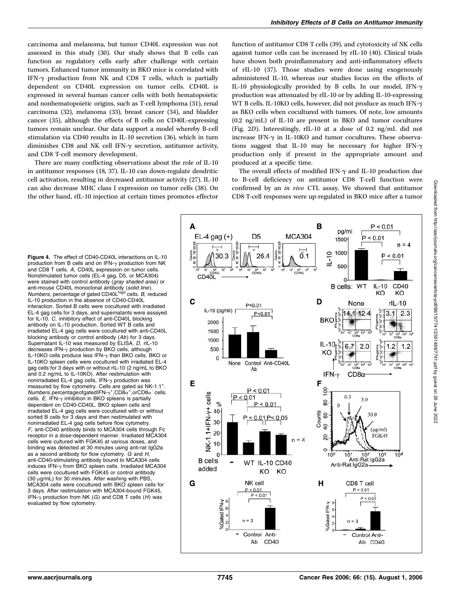carcinoma and melanoma, but tumor CD40L expression was not assessed in this study (30). Our study shows that B cells can function as regulatory cells early after challenge with certain tumors. Enhanced tumor immunity in BKO mice is correlated with IFN- $\gamma$  production from NK and CD8 T cells, which is partially dependent on CD40L expression on tumor cells. CD40L is expressed in several human cancer cells with both hematopoietic and nonhematopoietic origins, such as T-cell lymphoma (31), renal carcinoma (32), melanoma (33), breast cancer (34), and bladder cancer (35), although the effects of B cells on CD40L-expressing tumors remain unclear. Our data support a model whereby B-cell stimulation via CD40 results in IL-10 secretion (36), which in turn diminishes CD8 and NK cell IFN- $\gamma$  secretion, antitumor activity, and CD8 T-cell memory development.

There are many conflicting observations about the role of IL-10 in antitumor responses (18, 37). IL-10 can down-regulate dendritic cell activation, resulting in decreased antitumor activity (27). IL-10 can also decrease MHC class I expression on tumor cells (38). On the other hand, rIL-10 injection at certain times promotes effector function of antitumor CD8 T cells (39), and cytotoxicity of NK cells against tumor cells can be increased by rIL-10 (40). Clinical trials have shown both proinflammatory and anti-inflammatory effects of rIL-10 (37). Those studies were done using exogenously administered IL-10, whereas our studies focus on the effects of IL-10 physiologically provided by B cells. In our model, IFN-g production was attenuated by rIL-10 or by adding IL-10-expressing WT B cells. IL-10KO cells, however, did not produce as much IFN-g as BKO cells when cocultured with tumors. Of note, low amounts (0.2 ng/mL) of IL-10 are present in BKO and tumor cocultures (Fig. 2D). Interestingly, rIL-10 at a dose of 0.2 ng/mL did not increase IFN- $\gamma$  in IL-10KO and tumor cocultures. These observations suggest that IL-10 may be necessary for higher IFN-g production only if present in the appropriate amount and produced at a specific time.

The overall effects of modified IFN- $\gamma$  and IL-10 production due to B-cell deficiency on antitumor CD8 T-cell function were confirmed by an in vivo CTL assay. We showed that antitumor CD8 T-cell responses were up-regulated in BKO mice after a tumor

Figure 4. The effect of CD40-CD40L interactions on IL-10 production from B cells and on IFN- $\gamma$  production from NK and CD8 T cells. A, CD40L expression on tumor cells. Nonstimulated tumor cells (EL-4 gag, D5, or MCA304) were stained with control antibody (gray shaded area) or anti-mouse CD40L monoclonal antibody (solid line).<br>Numbers, percentage of gated CD40L<sup>high</sup> cells, B, reduced Numbers, percentage of gated CD40Lhight IL-10 production in the absence of CD40-CD40L interaction. Sorted B cells were cocultured with irradiated EL-4 gag cells for 3 days, and supernatants were assayed for IL-10. C, inhibitory effect of anti-CD40L blocking antibody on IL-10 production. Sorted WT B cells and irradiated EL-4 gag cells were cocultured with anti-CD40L blocking antibody or control antibody (Ab) for 3 days. Supernatant IL-10 was measured by ELISA. D, rIL-10 decreases IFN- $\gamma$  production by BKO cells, although IL-10KO cells produce less IFN-g than BKO cells. BKO or IL-10KO spleen cells were cocultured with irradiated EL-4 gag cells for 3 days with or without rIL-10 (2 ng/mL to BKO and 0.2 ng/mL to IL-10KO). After restimulation with nonirradiated EL-4 gag cells, IFN- $\gamma$  production was measured by flow cytometry. Cells are gated as NK-1.1<sup>+</sup>.  $Number$ , percentageofgatedIFN- $\gamma^+$ , CD8 $\alpha^+$ , or CD8 $\alpha^-$ cells.<br>cells. E. IFN- $\gamma$  inhibition in BKO spleens is partially. cells.  $E$ , IFN- $\gamma$  inhibition in BKO spleens is partially dependent on CD40-CD40L. BKO spleen cells and irradiated EL-4 gag cells were cocultured with or without sorted B cells for 3 days and then restimulated with nonirradiated EL-4 gag cells before flow cytometry. F, anti-CD40 antibody binds to MCA304 cells through Fc receptor in a dose-dependent manner. Irradiated MCA304 cells were cultured with FGK45 at various doses, and binding was detected at 30 minutes using anti-rat IgG2a as a second antibody for flow cytometry. G and H, anti-CD40-stimulating antibody bound to MCA304 cells induces IFN- $\gamma$  from BKO spleen cells. Irradiated MCA304 cells were cocultured with FGK45 or control antibody (30  $\mu$ g/mL) for 30 minutes. After washing with PBS, MCA304 cells were cocultured with BKO spleen cells for 3 days. After restimulation with MCA304-bound FGK45, IFN- $\gamma$  production from NK (G) and CD8 T cells (H) was evaluated by flow cytometry.

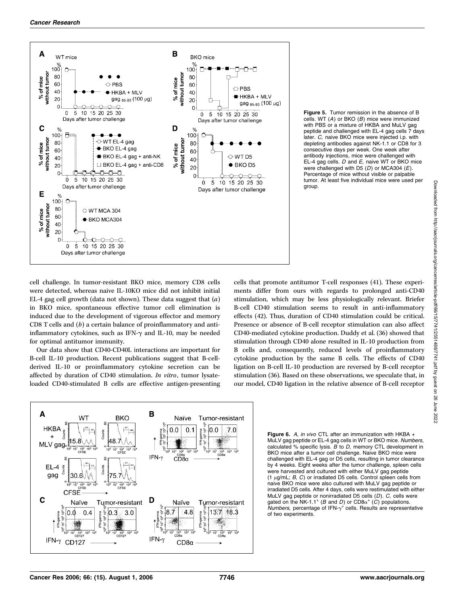



cell challenge. In tumor-resistant BKO mice, memory CD8 cells were detected, whereas naive IL-10KO mice did not inhibit initial EL-4 gag cell growth (data not shown). These data suggest that  $(a)$ in BKO mice, spontaneous effective tumor cell elimination is induced due to the development of vigorous effector and memory CD8 T cells and (b) a certain balance of proinflammatory and antiinflammatory cytokines, such as IFN- $\gamma$  and IL-10, may be needed for optimal antitumor immunity.

Our data show that CD40-CD40L interactions are important for B-cell IL-10 production. Recent publications suggest that B-cellderived IL-10 or proinflammatory cytokine secretion can be affected by duration of CD40 stimulation. In vitro, tumor lysateloaded CD40-stimulated B cells are effective antigen-presenting cells that promote antitumor T-cell responses (41). These experiments differ from ours with regards to prolonged anti-CD40 stimulation, which may be less physiologically relevant. Briefer B-cell CD40 stimulation seems to result in anti-inflammatory effects (42). Thus, duration of CD40 stimulation could be critical. Presence or absence of B-cell receptor stimulation can also affect CD40-mediated cytokine production. Duddy et al. (36) showed that stimulation through CD40 alone resulted in IL-10 production from B cells and, consequently, reduced levels of proinflammatory cytokine production by the same B cells. The effects of CD40 ligation on B-cell IL-10 production are reversed by B-cell receptor stimulation (36). Based on these observations, we speculate that, in our model, CD40 ligation in the relative absence of B-cell receptor



Figure 6. A, in vivo CTL after an immunization with HKBA + MuLV gag peptide or EL-4 gag cells in WT or BKO mice. Numbers, calculated % specific lysis. B to D, memory CTL development in BKO mice after a tumor cell challenge. Naive BKO mice were challenged with EL-4 gag or D5 cells, resulting in tumor clearance by 4 weeks. Eight weeks after the tumor challenge, spleen cells were harvested and cultured with either MuLV gag peptide  $(1 \mu q/mL; B, C)$  or irradiated D5 cells. Control spleen cells from naive BKO mice were also cultured with MuLV gag peptide or irradiated D5 cells. After 4 days, cells were restimulated with either MuLV gag peptide or nonirradiated D5 cells (D). C, cells were qated on the NK-1.1<sup>+</sup> (B and D) or CD8 $\alpha$ <sup>+</sup> (C) populations. Numbers, percentage of IFN- $\gamma^+$  cells. Results are representative of two experiments.